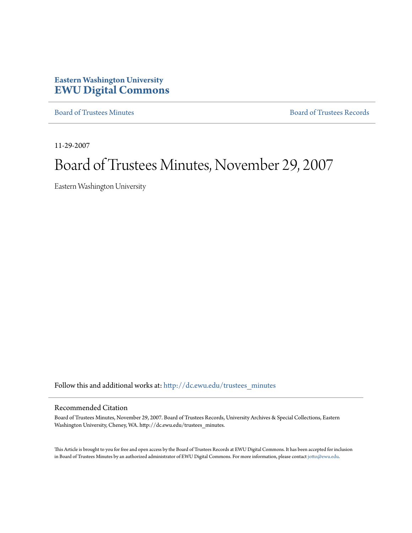# **Eastern Washington University [EWU Digital Commons](http://dc.ewu.edu?utm_source=dc.ewu.edu%2Ftrustees_minutes%2F645&utm_medium=PDF&utm_campaign=PDFCoverPages)**

[Board of Trustees Minutes](http://dc.ewu.edu/trustees_minutes?utm_source=dc.ewu.edu%2Ftrustees_minutes%2F645&utm_medium=PDF&utm_campaign=PDFCoverPages) [Board of Trustees Records](http://dc.ewu.edu/trustees?utm_source=dc.ewu.edu%2Ftrustees_minutes%2F645&utm_medium=PDF&utm_campaign=PDFCoverPages)

11-29-2007

# Board of Trustees Minutes, November 29, 2007

Eastern Washington University

Follow this and additional works at: [http://dc.ewu.edu/trustees\\_minutes](http://dc.ewu.edu/trustees_minutes?utm_source=dc.ewu.edu%2Ftrustees_minutes%2F645&utm_medium=PDF&utm_campaign=PDFCoverPages)

#### Recommended Citation

Board of Trustees Minutes, November 29, 2007. Board of Trustees Records, University Archives & Special Collections, Eastern Washington University, Cheney, WA. http://dc.ewu.edu/trustees\_minutes.

This Article is brought to you for free and open access by the Board of Trustees Records at EWU Digital Commons. It has been accepted for inclusion in Board of Trustees Minutes by an authorized administrator of EWU Digital Commons. For more information, please contact [jotto@ewu.edu.](mailto:jotto@ewu.edu)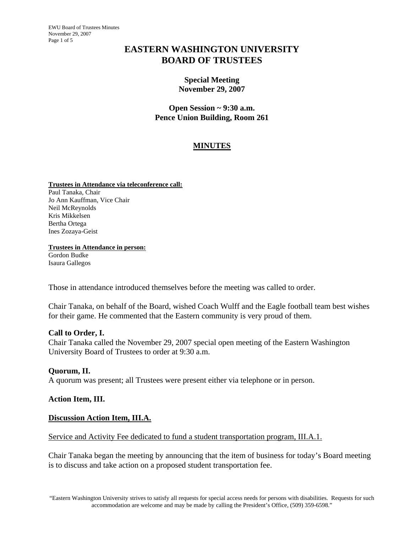EWU Board of Trustees Minutes November 29, 2007 Page 1 of 5

# **EASTERN WASHINGTON UNIVERSITY BOARD OF TRUSTEES**

### **Special Meeting November 29, 2007**

**Open Session ~ 9:30 a.m. Pence Union Building, Room 261** 

# **MINUTES**

**Trustees in Attendance via teleconference call:** Paul Tanaka, Chair Jo Ann Kauffman, Vice Chair Neil McReynolds Kris Mikkelsen Bertha Ortega Ines Zozaya-Geist

**Trustees in Attendance in person:** Gordon Budke Isaura Gallegos

Those in attendance introduced themselves before the meeting was called to order.

Chair Tanaka, on behalf of the Board, wished Coach Wulff and the Eagle football team best wishes for their game. He commented that the Eastern community is very proud of them.

## **Call to Order, I.**

Chair Tanaka called the November 29, 2007 special open meeting of the Eastern Washington University Board of Trustees to order at 9:30 a.m.

#### **Quorum, II.**

A quorum was present; all Trustees were present either via telephone or in person.

## **Action Item, III.**

#### **Discussion Action Item, III.A.**

#### Service and Activity Fee dedicated to fund a student transportation program, III.A.1.

Chair Tanaka began the meeting by announcing that the item of business for today's Board meeting is to discuss and take action on a proposed student transportation fee.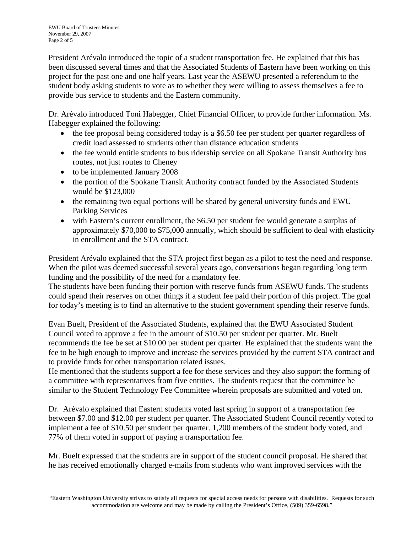President Arévalo introduced the topic of a student transportation fee. He explained that this has been discussed several times and that the Associated Students of Eastern have been working on this project for the past one and one half years. Last year the ASEWU presented a referendum to the student body asking students to vote as to whether they were willing to assess themselves a fee to provide bus service to students and the Eastern community.

Dr. Arévalo introduced Toni Habegger, Chief Financial Officer, to provide further information. Ms. Habegger explained the following:

- the fee proposal being considered today is a \$6.50 fee per student per quarter regardless of credit load assessed to students other than distance education students
- the fee would entitle students to bus ridership service on all Spokane Transit Authority bus routes, not just routes to Cheney
- to be implemented January 2008
- the portion of the Spokane Transit Authority contract funded by the Associated Students would be \$123,000
- the remaining two equal portions will be shared by general university funds and EWU Parking Services
- with Eastern's current enrollment, the \$6.50 per student fee would generate a surplus of approximately \$70,000 to \$75,000 annually, which should be sufficient to deal with elasticity in enrollment and the STA contract.

President Arévalo explained that the STA project first began as a pilot to test the need and response. When the pilot was deemed successful several years ago, conversations began regarding long term funding and the possibility of the need for a mandatory fee.

The students have been funding their portion with reserve funds from ASEWU funds. The students could spend their reserves on other things if a student fee paid their portion of this project. The goal for today's meeting is to find an alternative to the student government spending their reserve funds.

Evan Buelt, President of the Associated Students, explained that the EWU Associated Student Council voted to approve a fee in the amount of \$10.50 per student per quarter. Mr. Buelt recommends the fee be set at \$10.00 per student per quarter. He explained that the students want the fee to be high enough to improve and increase the services provided by the current STA contract and to provide funds for other transportation related issues.

He mentioned that the students support a fee for these services and they also support the forming of a committee with representatives from five entities. The students request that the committee be similar to the Student Technology Fee Committee wherein proposals are submitted and voted on.

Dr. Arévalo explained that Eastern students voted last spring in support of a transportation fee between \$7.00 and \$12.00 per student per quarter. The Associated Student Council recently voted to implement a fee of \$10.50 per student per quarter. 1,200 members of the student body voted, and 77% of them voted in support of paying a transportation fee.

Mr. Buelt expressed that the students are in support of the student council proposal. He shared that he has received emotionally charged e-mails from students who want improved services with the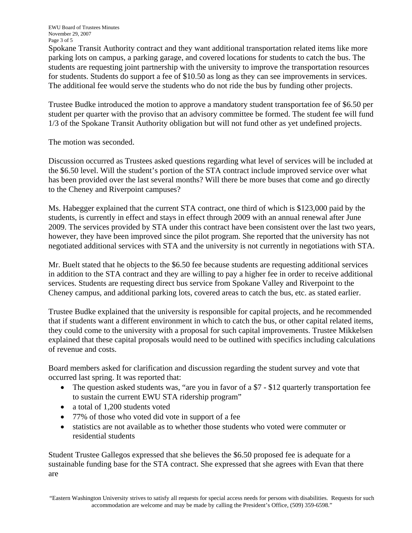EWU Board of Trustees Minutes November 29, 2007 Page 3 of 5

Spokane Transit Authority contract and they want additional transportation related items like more parking lots on campus, a parking garage, and covered locations for students to catch the bus. The students are requesting joint partnership with the university to improve the transportation resources for students. Students do support a fee of \$10.50 as long as they can see improvements in services. The additional fee would serve the students who do not ride the bus by funding other projects.

Trustee Budke introduced the motion to approve a mandatory student transportation fee of \$6.50 per student per quarter with the proviso that an advisory committee be formed. The student fee will fund 1/3 of the Spokane Transit Authority obligation but will not fund other as yet undefined projects.

The motion was seconded.

Discussion occurred as Trustees asked questions regarding what level of services will be included at the \$6.50 level. Will the student's portion of the STA contract include improved service over what has been provided over the last several months? Will there be more buses that come and go directly to the Cheney and Riverpoint campuses?

Ms. Habegger explained that the current STA contract, one third of which is \$123,000 paid by the students, is currently in effect and stays in effect through 2009 with an annual renewal after June 2009. The services provided by STA under this contract have been consistent over the last two years, however, they have been improved since the pilot program. She reported that the university has not negotiated additional services with STA and the university is not currently in negotiations with STA.

Mr. Buelt stated that he objects to the \$6.50 fee because students are requesting additional services in addition to the STA contract and they are willing to pay a higher fee in order to receive additional services. Students are requesting direct bus service from Spokane Valley and Riverpoint to the Cheney campus, and additional parking lots, covered areas to catch the bus, etc. as stated earlier.

Trustee Budke explained that the university is responsible for capital projects, and he recommended that if students want a different environment in which to catch the bus, or other capital related items, they could come to the university with a proposal for such capital improvements. Trustee Mikkelsen explained that these capital proposals would need to be outlined with specifics including calculations of revenue and costs.

Board members asked for clarification and discussion regarding the student survey and vote that occurred last spring. It was reported that:

- The question asked students was, "are you in favor of a \$7 \$12 quarterly transportation fee to sustain the current EWU STA ridership program"
- a total of 1,200 students voted
- 77% of those who voted did vote in support of a fee
- statistics are not available as to whether those students who voted were commuter or residential students

Student Trustee Gallegos expressed that she believes the \$6.50 proposed fee is adequate for a sustainable funding base for the STA contract. She expressed that she agrees with Evan that there are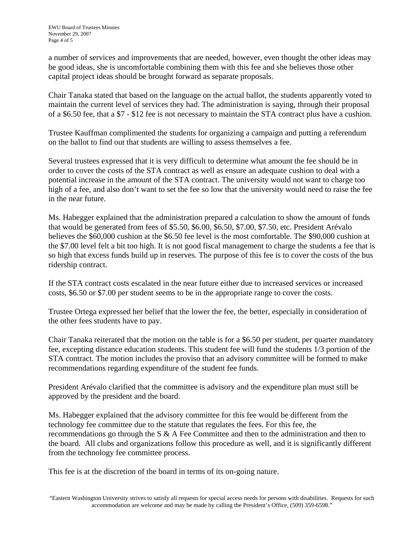a number of services and improvements that are needed, however, even thought the other ideas may be good ideas, she is uncomfortable combining them with this fee and she believes those other capital project ideas should be brought forward as separate proposals.

Chair Tanaka stated that based on the language on the actual ballot, the students apparently voted to maintain the current level of services they had. The administration is saying, through their proposal of a \$6.50 fee, that a \$7 - \$12 fee is not necessary to maintain the STA contract plus have a cushion.

Trustee Kauffman complimented the students for organizing a campaign and putting a referendum on the ballot to find out that students are willing to assess themselves a fee.

Several trustees expressed that it is very difficult to determine what amount the fee should be in order to cover the costs of the STA contract as well as ensure an adequate cushion to deal with a potential increase in the amount of the STA contract. The university would not want to charge too high of a fee, and also don't want to set the fee so low that the university would need to raise the fee in the near future.

Ms. Habegger explained that the administration prepared a calculation to show the amount of funds that would be generated from fees of \$5.50, \$6.00, \$6.50, \$7.00, \$7.50, etc. President Arévalo believes the \$60,000 cushion at the \$6.50 fee level is the most comfortable. The \$90,000 cushion at the \$7.00 level felt a bit too high. It is not good fiscal management to charge the students a fee that is so high that excess funds build up in reserves. The purpose of this fee is to cover the costs of the bus ridership contract.

If the STA contract costs escalated in the near future either due to increased services or increased costs, \$6.50 or \$7.00 per student seems to be in the appropriate range to cover the costs.

Trustee Ortega expressed her belief that the lower the fee, the better, especially in consideration of the other fees students have to pay.

Chair Tanaka reiterated that the motion on the table is for a \$6.50 per student, per quarter mandatory fee, excepting distance education students. This student fee will fund the students 1/3 portion of the STA contract. The motion includes the proviso that an advisory committee will be formed to make recommendations regarding expenditure of the student fee funds.

President Arévalo clarified that the committee is advisory and the expenditure plan must still be approved by the president and the board.

Ms. Habegger explained that the advisory committee for this fee would be different from the technology fee committee due to the statute that regulates the fees. For this fee, the recommendations go through the S  $\&$  A Fee Committee and then to the administration and then to the board. All clubs and organizations follow this procedure as well, and it is significantly different from the technology fee committee process.

This fee is at the discretion of the board in terms of its on-going nature.